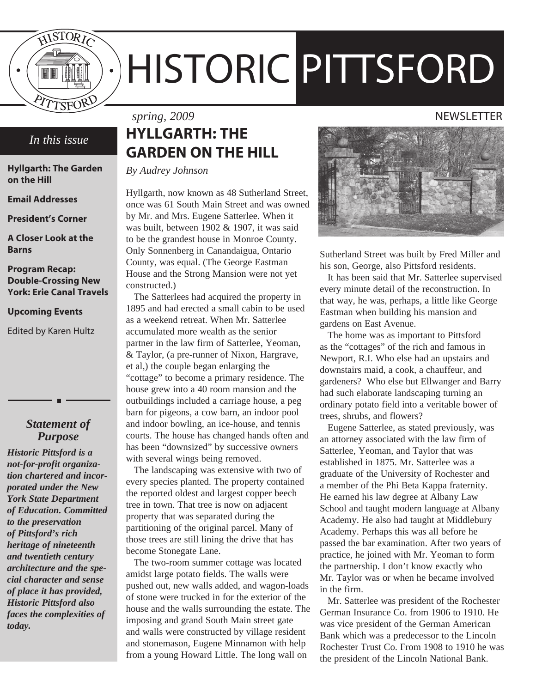

# HISTORIC PITTSFORD

## *In this issue*

**Hyllgarth: The Garden on the Hill**

**Email Addresses**

**President's Corner**

**A Closer Look at the Barns**

#### **Program Recap: Double-Crossing New York: Erie Canal Travels**

#### **Upcoming Events**

Edited by Karen Hultz

## *Statement of Purpose*

*Historic Pittsford is a not-for-profit organization chartered and incorporated under the New York State Department of Education. Committed to the preservation of Pittsford's rich heritage of nineteenth and twentieth century architecture and the special character and sense of place it has provided, Historic Pittsford also faces the complexities of today.*

## **HYLLGARTH: THE GARDEN ON THE HILL**

*By Audrey Johnson*

Hyllgarth, now known as 48 Sutherland Street, once was 61 South Main Street and was owned by Mr. and Mrs. Eugene Satterlee. When it was built, between 1902 & 1907, it was said to be the grandest house in Monroe County. Only Sonnenberg in Canandaigua, Ontario County, was equal. (The George Eastman House and the Strong Mansion were not yet constructed.)

The Satterlees had acquired the property in 1895 and had erected a small cabin to be used as a weekend retreat. When Mr. Satterlee accumulated more wealth as the senior partner in the law firm of Satterlee, Yeoman, & Taylor, (a pre-runner of Nixon, Hargrave, et al,) the couple began enlarging the "cottage" to become a primary residence. The house grew into a 40 room mansion and the outbuildings included a carriage house, a peg barn for pigeons, a cow barn, an indoor pool and indoor bowling, an ice-house, and tennis courts. The house has changed hands often and has been "downsized" by successive owners with several wings being removed.

The landscaping was extensive with two of every species planted. The property contained the reported oldest and largest copper beech tree in town. That tree is now on adjacent property that was separated during the partitioning of the original parcel. Many of those trees are still lining the drive that has become Stonegate Lane.

The two-room summer cottage was located amidst large potato fields. The walls were pushed out, new walls added, and wagon-loads of stone were trucked in for the exterior of the house and the walls surrounding the estate. The imposing and grand South Main street gate and walls were constructed by village resident and stonemason, Eugene Minnamon with help from a young Howard Little. The long wall on

## *spring, 2009* NEWSLETTER



Sutherland Street was built by Fred Miller and his son, George, also Pittsford residents.

It has been said that Mr. Satterlee supervised every minute detail of the reconstruction. In that way, he was, perhaps, a little like George Eastman when building his mansion and gardens on East Avenue.

The home was as important to Pittsford as the "cottages" of the rich and famous in Newport, R.I. Who else had an upstairs and downstairs maid, a cook, a chauffeur, and gardeners? Who else but Ellwanger and Barry had such elaborate landscaping turning an ordinary potato field into a veritable bower of trees, shrubs, and flowers?

Eugene Satterlee, as stated previously, was an attorney associated with the law firm of Satterlee, Yeoman, and Taylor that was established in 1875. Mr. Satterlee was a graduate of the University of Rochester and a member of the Phi Beta Kappa fraternity. He earned his law degree at Albany Law School and taught modern language at Albany Academy. He also had taught at Middlebury Academy. Perhaps this was all before he passed the bar examination. After two years of practice, he joined with Mr. Yeoman to form the partnership. I don't know exactly who Mr. Taylor was or when he became involved in the firm.

Mr. Satterlee was president of the Rochester German Insurance Co. from 1906 to 1910. He was vice president of the German American Bank which was a predecessor to the Lincoln Rochester Trust Co. From 1908 to 1910 he was the president of the Lincoln National Bank.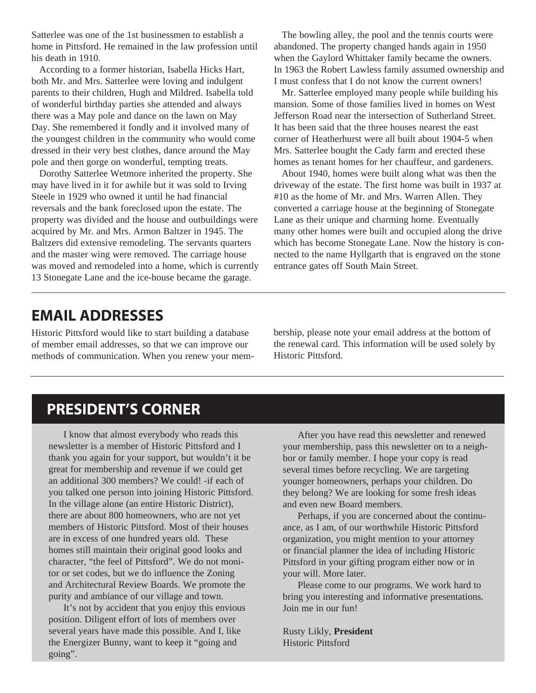Satterlee was one of the 1st businessmen to establish a home in Pittsford. He remained in the law profession until his death in 1910.

According to a former historian, Isabella Hicks Hart, both Mr. and Mrs. Satterlee were loving and indulgent parents to their children, Hugh and Mildred. Isabella told of wonderful birthday parties she attended and always there was a May pole and dance on the lawn on May Day. She remembered it fondly and it involved many of the youngest children in the community who would come dressed in their very best clothes, dance around the May pole and then gorge on wonderful, tempting treats.

Dorothy Satterlee Wetmore inherited the property. She may have lived in it for awhile but it was sold to Irving Steele in 1929 who owned it until he had financial reversals and the bank foreclosed upon the estate. The property was divided and the house and outbuildings were acquired by Mr. and Mrs. Armon Baltzer in 1945. The Baltzers did extensive remodeling. The servants quarters and the master wing were removed. The carriage house was moved and remodeled into a home, which is currently 13 Stonegate Lane and the ice-house became the garage.

The bowling alley, the pool and the tennis courts were abandoned. The property changed hands again in 1950 when the Gaylord Whittaker family became the owners. In 1963 the Robert Lawless family assumed ownership and I must confess that I do not know the current owners!

Mr. Satterlee employed many people while building his mansion. Some of those families lived in homes on West Jefferson Road near the intersection of Sutherland Street. It has been said that the three houses nearest the east corner of Heatherhurst were all built about 1904-5 when Mrs. Satterlee bought the Cady farm and erected these homes as tenant homes for her chauffeur, and gardeners.

About 1940, homes were built along what was then the driveway of the estate. The first home was built in 1937 at #10 as the home of Mr. and Mrs. Warren Allen. They converted a carriage house at the beginning of Stonegate Lane as their unique and charming home. Eventually many other homes were built and occupied along the drive which has become Stonegate Lane. Now the history is connected to the name Hyllgarth that is engraved on the stone entrance gates off South Main Street.

## **EMAIL ADDRESSES**

Historic Pittsford would like to start building a database of member email addresses, so that we can improve our methods of communication. When you renew your membership, please note your email address at the bottom of the renewal card. This information will be used solely by Historic Pittsford.

## **PRESIDENT'S CORNER**

I know that almost everybody who reads this newsletter is a member of Historic Pittsford and I thank you again for your support, but wouldn't it be great for membership and revenue if we could get an additional 300 members? We could! -if each of you talked one person into joining Historic Pittsford. In the village alone (an entire Historic District), there are about 800 homeowners, who are not yet members of Historic Pittsford. Most of their houses are in excess of one hundred years old. These homes still maintain their original good looks and character, "the feel of Pittsford". We do not monitor or set codes, but we do influence the Zoning and Architectural Review Boards. We promote the purity and ambiance of our village and town.

It's not by accident that you enjoy this envious position. Diligent effort of lots of members over several years have made this possible. And I, like the Energizer Bunny, want to keep it "going and going".

After you have read this newsletter and renewed your membership, pass this newsletter on to a neighbor or family member. I hope your copy is read several times before recycling. We are targeting younger homeowners, perhaps your children. Do they belong? We are looking for some fresh ideas and even new Board members.

Perhaps, if you are concerned about the continuance, as I am, of our worthwhile Historic Pittsford organization, you might mention to your attorney or financial planner the idea of including Historic Pittsford in your gifting program either now or in your will. More later.

Please come to our programs. We work hard to bring you interesting and informative presentations. Join me in our fun!

Rusty Likly, **President**  Historic Pittsford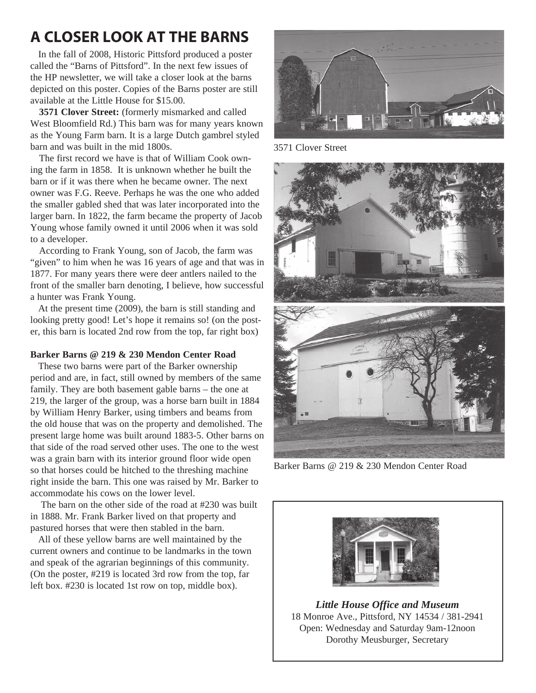## **A CLOSER LOOK AT THE BARNS**

In the fall of 2008, Historic Pittsford produced a poster called the "Barns of Pittsford". In the next few issues of the HP newsletter, we will take a closer look at the barns depicted on this poster. Copies of the Barns poster are still available at the Little House for \$15.00.

**3571 Clover Street:** (formerly mismarked and called West Bloomfield Rd.) This barn was for many years known as the Young Farm barn. It is a large Dutch gambrel styled barn and was built in the mid 1800s.

The first record we have is that of William Cook owning the farm in 1858. It is unknown whether he built the barn or if it was there when he became owner. The next owner was F.G. Reeve. Perhaps he was the one who added the smaller gabled shed that was later incorporated into the larger barn. In 1822, the farm became the property of Jacob Young whose family owned it until 2006 when it was sold to a developer.

According to Frank Young, son of Jacob, the farm was "given" to him when he was 16 years of age and that was in 1877. For many years there were deer antlers nailed to the front of the smaller barn denoting, I believe, how successful a hunter was Frank Young.

At the present time (2009), the barn is still standing and looking pretty good! Let's hope it remains so! (on the poster, this barn is located 2nd row from the top, far right box)

## **Barker Barns @ 219 & 230 Mendon Center Road**

These two barns were part of the Barker ownership period and are, in fact, still owned by members of the same family. They are both basement gable barns – the one at 219, the larger of the group, was a horse barn built in 1884 by William Henry Barker, using timbers and beams from the old house that was on the property and demolished. The present large home was built around 1883-5. Other barns on that side of the road served other uses. The one to the west was a grain barn with its interior ground floor wide open so that horses could be hitched to the threshing machine right inside the barn. This one was raised by Mr. Barker to accommodate his cows on the lower level.

 The barn on the other side of the road at #230 was built in 1888. Mr. Frank Barker lived on that property and pastured horses that were then stabled in the barn.

All of these yellow barns are well maintained by the current owners and continue to be landmarks in the town and speak of the agrarian beginnings of this community. (On the poster, #219 is located 3rd row from the top, far left box. #230 is located 1st row on top, middle box).



3571 Clover Street





Barker Barns @ 219 & 230 Mendon Center Road



*Little House Office and Museum* 18 Monroe Ave., Pittsford, NY 14534 / 381-2941 Open: Wednesday and Saturday 9am-12noon Dorothy Meusburger, Secretary